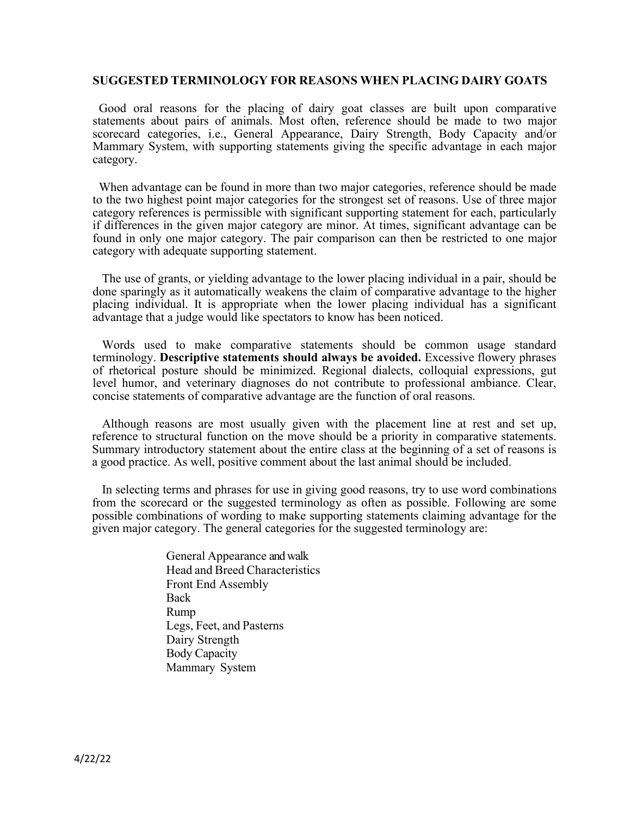#### **SUGGESTED TERMINOLOGY FOR REASONS WHEN PLACING DAIRY GOATS**

Good oral reasons for the placing of dairy goat classes are built upon comparative statements about pairs of animals. Most often, reference should be made to two major scorecard categories, i.e., General Appearance, Dairy Strength, Body Capacity and/or Mammary System, with supporting statements giving the specific advantage in each major category.

When advantage can be found in more than two major categories, reference should be made to the two highest point major categories for the strongest set of reasons. Use of three major category references is permissible with significant supporting statement for each, particularly if differences in the given major category are minor. At times, significant advantage can be found in only one major category. The pair comparison can then be restricted to one major category with adequate supporting statement.

The use of grants, or yielding advantage to the lower placing individual in a pair, should be done sparingly as it automatically weakens the claim of comparative advantage to the higher placing individual. It is appropriate when the lower placing individual has a significant advantage that a judge would like spectators to know has been noticed.

Words used to make comparative statements should be common usage standard terminology. **Descriptive statements should always be avoided.** Excessive flowery phrases of rhetorical posture should be minimized. Regional dialects, colloquial expressions, gut level humor, and veterinary diagnoses do not contribute to professional ambiance. Clear, concise statements of comparative advantage are the function of oral reasons.

Although reasons are most usually given with the placement line at rest and set up, reference to structural function on the move should be a priority in comparative statements. Summary introductory statement about the entire class at the beginning of a set of reasons is a good practice. As well, positive comment about the last animal should be included.

In selecting terms and phrases for use in giving good reasons, try to use word combinations from the scorecard or the suggested terminology as often as possible. Following are some possible combinations of wording to make supporting statements claiming advantage for the given major category. The general categories for the suggested terminology are:

> General Appearance and walk Head and Breed Characteristics Front End Assembly Back Rump Legs, Feet, and Pasterns Dairy Strength Body Capacity Mammary System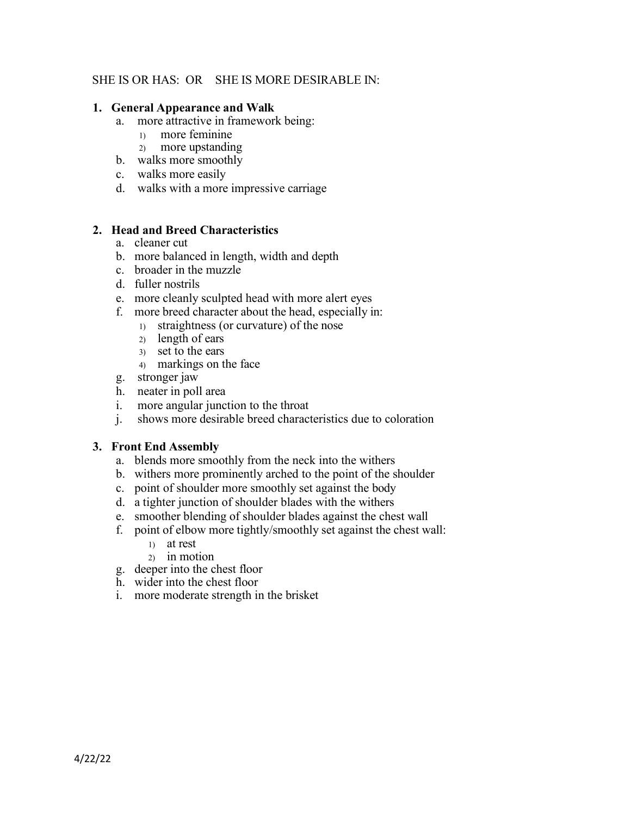# SHE IS OR HAS: OR SHE IS MORE DESIRABLE IN:

### **1. General Appearance and Walk**

- a. more attractive in framework being:
	- 1) more feminine
	- 2) more upstanding
- b. walks more smoothly
- c. walks more easily
- d. walks with a more impressive carriage

## **2. Head and Breed Characteristics**

- a. cleaner cut
- b. more balanced in length, width and depth
- c. broader in the muzzle
- d. fuller nostrils
- e. more cleanly sculpted head with more alert eyes
- f. more breed character about the head, especially in:
	- 1) straightness (or curvature) of the nose
	- 2) length of ears
	- 3) set to the ears
	- 4) markings on the face
- g. stronger jaw
- h. neater in poll area
- i. more angular junction to the throat
- j. shows more desirable breed characteristics due to coloration

## **3. Front End Assembly**

- a. blends more smoothly from the neck into the withers
- b. withers more prominently arched to the point of the shoulder
- c. point of shoulder more smoothly set against the body
- d. a tighter junction of shoulder blades with the withers
- e. smoother blending of shoulder blades against the chest wall
- f. point of elbow more tightly/smoothly set against the chest wall:
	- 1) at rest
	- 2) in motion
- g. deeper into the chest floor
- h. wider into the chest floor
- i. more moderate strength in the brisket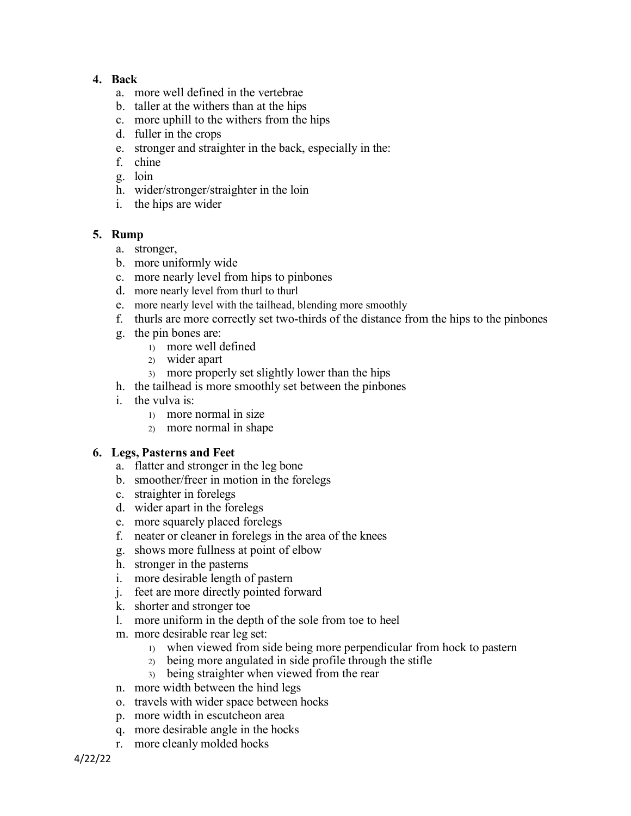# **4. Back**

- a. more well defined in the vertebrae
- b. taller at the withers than at the hips
- c. more uphill to the withers from the hips
- d. fuller in the crops
- e. stronger and straighter in the back, especially in the:
- f. chine
- g. loin
- h. wider/stronger/straighter in the loin
- i. the hips are wider

# **5. Rump**

- a. stronger,
- b. more uniformly wide
- c. more nearly level from hips to pinbones
- d. more nearly level from thurl to thurl
- e. more nearly level with the tailhead, blending more smoothly
- f. thurls are more correctly set two-thirds of the distance from the hips to the pinbones
- g. the pin bones are:
	- 1) more well defined
	- 2) wider apart
	- 3) more properly set slightly lower than the hips
- h. the tailhead is more smoothly set between the pinbones
- i. the vulva is:
	- 1) more normal in size
	- 2) more normal in shape

## **6. Legs, Pasterns and Feet**

- a. flatter and stronger in the leg bone
- b. smoother/freer in motion in the forelegs
- c. straighter in forelegs
- d. wider apart in the forelegs
- e. more squarely placed forelegs
- f. neater or cleaner in forelegs in the area of the knees
- g. shows more fullness at point of elbow
- h. stronger in the pasterns
- i. more desirable length of pastern
- j. feet are more directly pointed forward
- k. shorter and stronger toe
- l. more uniform in the depth of the sole from toe to heel
- m. more desirable rear leg set:
	- 1) when viewed from side being more perpendicular from hock to pastern
	- 2) being more angulated in side profile through the stifle
	- 3) being straighter when viewed from the rear
- n. more width between the hind legs
- o. travels with wider space between hocks
- p. more width in escutcheon area
- q. more desirable angle in the hocks
- r. more cleanly molded hocks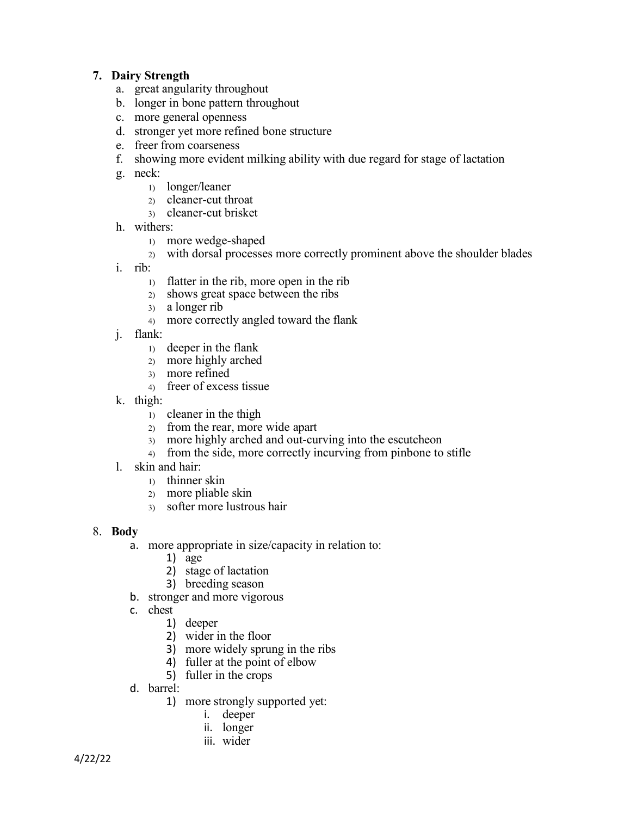# **7. Dairy Strength**

- a. great angularity throughout
- b. longer in bone pattern throughout
- c. more general openness
- d. stronger yet more refined bone structure
- e. freer from coarseness
- f. showing more evident milking ability with due regard for stage of lactation
- g. neck:
	- 1) longer/leaner
	- 2) cleaner-cut throat
	- 3) cleaner-cut brisket
- h. withers:
	- 1) more wedge-shaped
	- 2) with dorsal processes more correctly prominent above the shoulder blades
- i. rib:
	- 1) flatter in the rib, more open in the rib
	- 2) shows great space between the ribs
	- 3) a longer rib
	- 4) more correctly angled toward the flank
- j. flank:
	- 1) deeper in the flank
	- 2) more highly arched
	- 3) more refined
	- 4) freer of excess tissue
- k. thigh:
	- 1) cleaner in the thigh
	- 2) from the rear, more wide apart
	- 3) more highly arched and out-curving into the escutcheon
	- 4) from the side, more correctly incurving from pinbone to stifle
- l. skin and hair:
	- 1) thinner skin
	- 2) more pliable skin
	- 3) softer more lustrous hair
- 8. **Body**
	- a. more appropriate in size/capacity in relation to:
		- 1) age
		- 2) stage of lactation
		- 3) breeding season
	- b. stronger and more vigorous
	- c. chest
		- 1) deeper
		- 2) wider in the floor
		- 3) more widely sprung in the ribs
		- 4) fuller at the point of elbow
		- 5) fuller in the crops
	- d. barrel:
		- 1) more strongly supported yet:
			- i. deeper
			- ii. longer
			- iii. wider